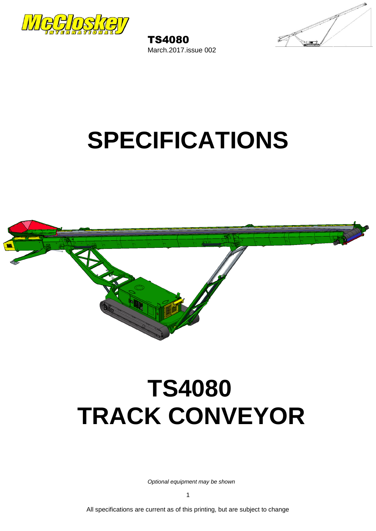

TS4080 March.2017.issue 002



# **SPECIFICATIONS**



# **TS4080 TRACK CONVEYOR**

*Optional equipment may be shown*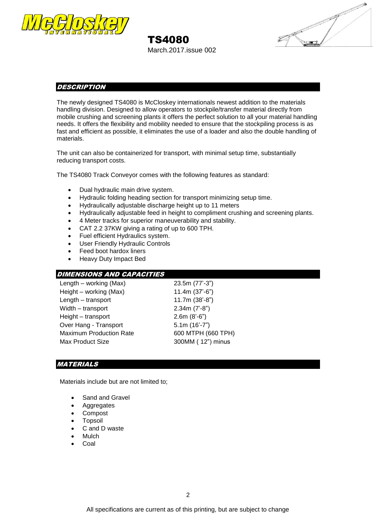

# TS4080

March.2017.issue 002



### **DESCRIPTION**

The newly designed TS4080 is McCloskey internationals newest addition to the materials handling division. Designed to allow operators to stockpile/transfer material directly from mobile crushing and screening plants it offers the perfect solution to all your material handling needs. It offers the flexibility and mobility needed to ensure that the stockpiling process is as fast and efficient as possible, it eliminates the use of a loader and also the double handling of materials.

The unit can also be containerized for transport, with minimal setup time, substantially reducing transport costs.

The TS4080 Track Conveyor comes with the following features as standard:

- Dual hydraulic main drive system.
- Hydraulic folding heading section for transport minimizing setup time.
- Hydraulically adjustable discharge height up to 11 meters
- Hydraulically adjustable feed in height to compliment crushing and screening plants.
- 4 Meter tracks for superior maneuverability and stability.
- CAT 2.2 37KW giving a rating of up to 600 TPH.
- Fuel efficient Hydraulics system.
- User Friendly Hydraulic Controls
- Feed boot hardox liners
- Heavy Duty Impact Bed

## DIMENSIONS AND CAPACITIES

| Length – working (Max)         | 23.5m (77'-3")     |
|--------------------------------|--------------------|
| Height – working (Max)         | $11.4m (37'-6")$   |
| Length - transport             | 11.7m (38'-8")     |
| Width - transport              | $2.34m (7'-8")$    |
| Height - transport             | $2.6m (8'-6")$     |
| Over Hang - Transport          | $5.1m(16'-7")$     |
| <b>Maximum Production Rate</b> | 600 MTPH (660 TPH) |
| Max Product Size               | 300MM (12") minus  |
|                                |                    |

#### **MATERIALS**

Materials include but are not limited to;

- Sand and Gravel
- Aggregates
- Compost
- Topsoil
- C and D waste
- **Mulch**
- Coal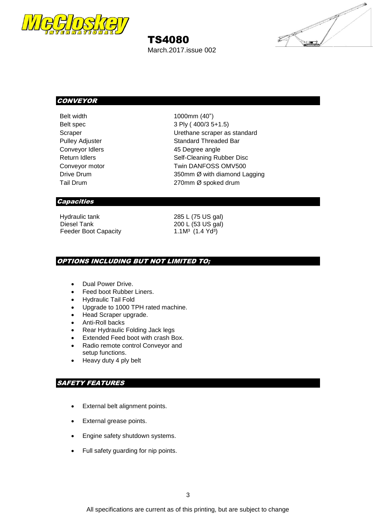

## TS4080

March.2017.issue 002



## **CONVEYOR**

Belt width 1000mm (40") Belt spec 3 Ply ( 400/3 5+1.5) Scraper Craper Craper as standard Pulley Adjuster Standard Threaded Bar Conveyor Idlers **45 Degree angle** Return Idlers **Self-Cleaning Rubber Disc** Conveyor motor Twin DANFOSS OMV500 Drive Drum 350mm Ø with diamond Lagging Tail Drum 270mm Ø spoked drum

#### **Capacities**

Hydraulic tank 285 L (75 US gal)<br>Diesel Tank 200 L (53 US gal) Feeder Boot Capacity 1.1M<sup>3</sup> (1.4 Yd<sup>3</sup>)

200 L (53 US gal)

### OPTIONS INCLUDING BUT NOT LIMITED TO;

- Dual Power Drive.
- Feed boot Rubber Liners.
- Hydraulic Tail Fold
- Upgrade to 1000 TPH rated machine.
- Head Scraper upgrade.
- Anti-Roll backs
- Rear Hydraulic Folding Jack legs
- Extended Feed boot with crash Box.
- Radio remote control Conveyor and setup functions.
- Heavy duty 4 ply belt

## SAFETY FEATURES

- External belt alignment points.
- External grease points.
- Engine safety shutdown systems.
- Full safety guarding for nip points.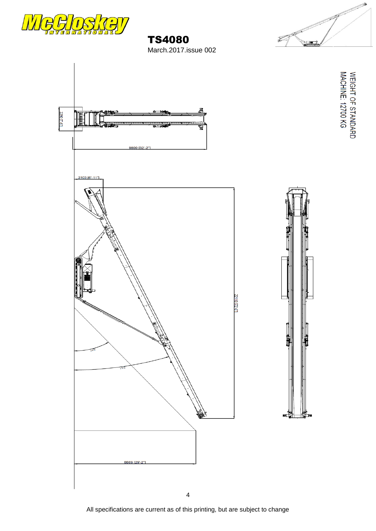





TS4080

March.2017.issue 002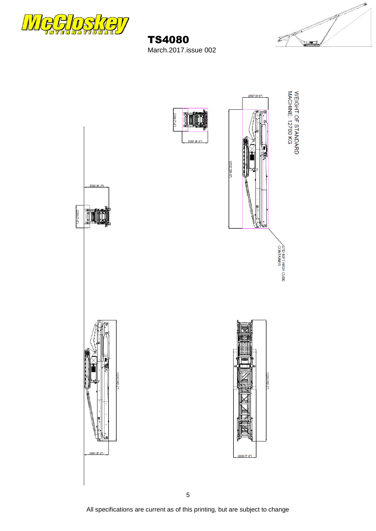

TS4080 March.2017.issue 002